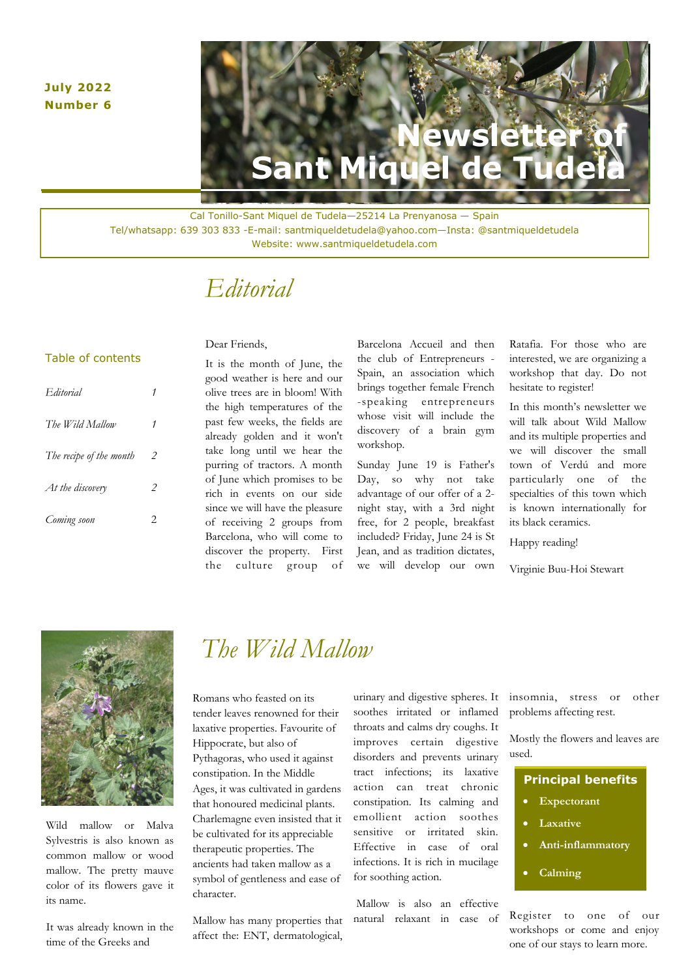#### **July 2022 Number 6**

# **AWS LET Sant Miquel de Tudela**

Cal Tonillo-Sant Miquel de Tudela—25214 La Prenyanosa — Spain Tel/whatsapp: 639 303 833 -E-mail: santmiqueldetudela@yahoo.com—Insta: @santmiqueldetudela Website: www.santmiqueldetudela.com

### *Editorial*

#### Table of contents

| Editorial               |   |
|-------------------------|---|
| The Wild Mallow         | 1 |
| The recipe of the month | 2 |
| At the discovery        | 2 |
| Coming soon             | 2 |

#### Dear Friends,

It is the month of June, the good weather is here and our olive trees are in bloom! With the high temperatures of the past few weeks, the fields are already golden and it won't take long until we hear the purring of tractors. A month of June which promises to be rich in events on our side since we will have the pleasure of receiving 2 groups from Barcelona, who will come to discover the property. First the culture group of

Barcelona Accueil and then the club of Entrepreneurs - Spain, an association which brings together female French -speaking entrepreneurs whose visit will include the discovery of a brain gym workshop.

Sunday June 19 is Father's Day, so why not take advantage of our offer of a 2 night stay, with a 3rd night free, for 2 people, breakfast included? Friday, June 24 is St Jean, and as tradition dictates, we will develop our own

Ratafia. For those who are interested, we are organizing a workshop that day. Do not hesitate to register!

**Newsletter** 

**Sant Miquel de Tudela**

In this month's newsletter we will talk about Wild Mallow and its multiple properties and we will discover the small town of Verdú and more particularly one of the specialties of this town which is known internationally for its black ceramics.

Happy reading!

Virginie Buu-Hoi Stewart



Wild mallow or Malva Sylvestris is also known as common mallow or wood mallow. The pretty mauve color of its flowers gave it its name.

It was already known in the time of the Greeks and

### *The Wild Mallow*

Romans who feasted on its tender leaves renowned for their laxative properties. Favourite of Hippocrate, but also of Pythagoras, who used it against constipation. In the Middle Ages, it was cultivated in gardens that honoured medicinal plants. Charlemagne even insisted that it be cultivated for its appreciable therapeutic properties. The ancients had taken mallow as a symbol of gentleness and ease of character.

Mallow has many properties that affect the: ENT, dermatological,

urinary and digestive spheres. It soothes irritated or inflamed throats and calms dry coughs. It improves certain digestive disorders and prevents urinary tract infections; its laxative action can treat chronic constipation. Its calming and emollient action soothes sensitive or irritated skin. Effective in case of oral infections. It is rich in mucilage for soothing action.

Mallow is also an effective natural relaxant in case of insomnia, stress or other problems affecting rest.

Mostly the flowers and leaves are used.

| <b>Principal benefits</b> |  |  |
|---------------------------|--|--|
|                           |  |  |

- **Expectorant**
- **Laxative**
- **Anti-inflammatory**
- **Calming**

Register to one of our workshops or come and enjoy one of our stays to learn more.